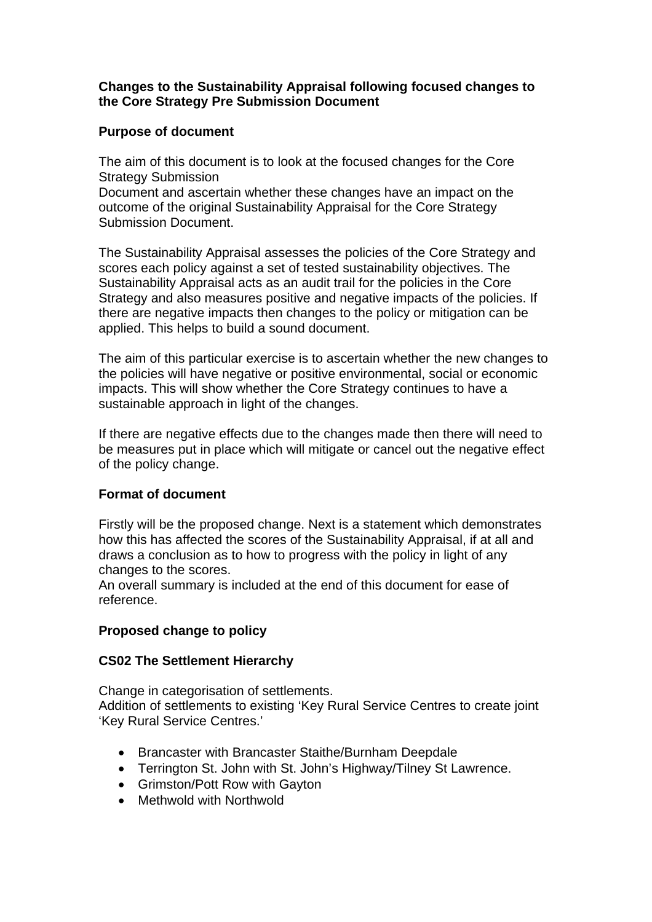#### **Changes to the Sustainability Appraisal following focused changes to the Core Strategy Pre Submission Document**

## **Purpose of document**

The aim of this document is to look at the focused changes for the Core Strategy Submission

Document and ascertain whether these changes have an impact on the outcome of the original Sustainability Appraisal for the Core Strategy Submission Document.

The Sustainability Appraisal assesses the policies of the Core Strategy and scores each policy against a set of tested sustainability objectives. The Sustainability Appraisal acts as an audit trail for the policies in the Core Strategy and also measures positive and negative impacts of the policies. If there are negative impacts then changes to the policy or mitigation can be applied. This helps to build a sound document.

The aim of this particular exercise is to ascertain whether the new changes to the policies will have negative or positive environmental, social or economic impacts. This will show whether the Core Strategy continues to have a sustainable approach in light of the changes.

If there are negative effects due to the changes made then there will need to be measures put in place which will mitigate or cancel out the negative effect of the policy change.

# **Format of document**

Firstly will be the proposed change. Next is a statement which demonstrates how this has affected the scores of the Sustainability Appraisal, if at all and draws a conclusion as to how to progress with the policy in light of any changes to the scores.

An overall summary is included at the end of this document for ease of reference.

# **Proposed change to policy**

#### **CS02 The Settlement Hierarchy**

Change in categorisation of settlements. Addition of settlements to existing 'Key Rural Service Centres to create joint 'Key Rural Service Centres.'

- Brancaster with Brancaster Staithe/Burnham Deepdale
- Terrington St. John with St. John's Highway/Tilney St Lawrence.
- Grimston/Pott Row with Gayton
- Methwold with Northwold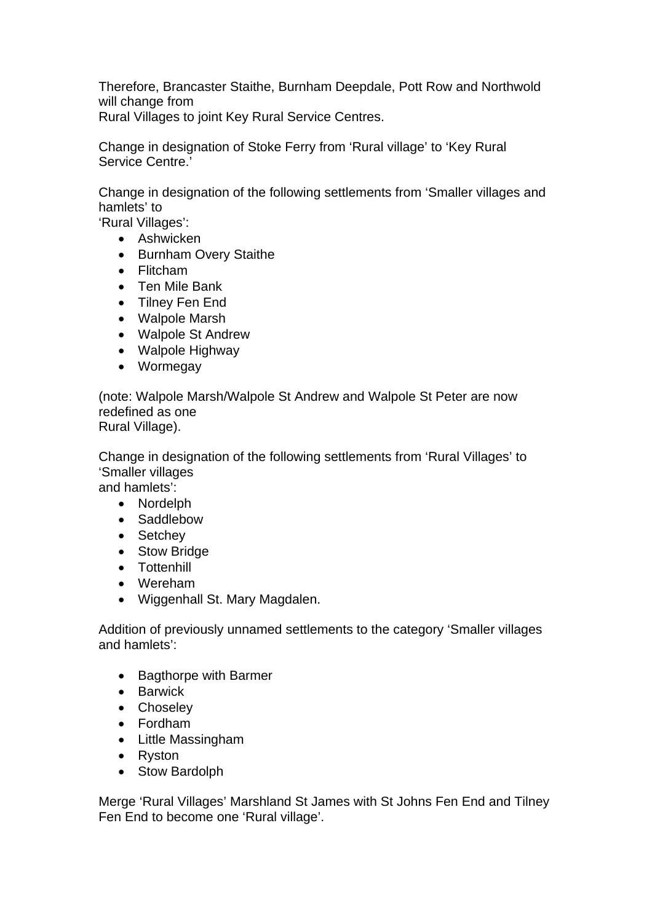Therefore, Brancaster Staithe, Burnham Deepdale, Pott Row and Northwold will change from

Rural Villages to joint Key Rural Service Centres.

Change in designation of Stoke Ferry from 'Rural village' to 'Key Rural Service Centre.'

Change in designation of the following settlements from 'Smaller villages and hamlets' to

'Rural Villages':

- Ashwicken
- Burnham Overy Staithe
- Flitcham
- Ten Mile Bank
- Tilney Fen End
- Walpole Marsh
- Walpole St Andrew
- Walpole Highway
- Wormegay

(note: Walpole Marsh/Walpole St Andrew and Walpole St Peter are now redefined as one Rural Village).

Change in designation of the following settlements from 'Rural Villages' to 'Smaller villages and hamlets':

- Nordelph
- Saddlebow
- Setchey
- Stow Bridge
- Tottenhill
- Wereham
- Wiggenhall St. Mary Magdalen.

Addition of previously unnamed settlements to the category 'Smaller villages and hamlets':

- Bagthorpe with Barmer
- **•** Barwick
- Choseley
- Fordham
- Little Massingham
- Ryston
- Stow Bardolph

Merge 'Rural Villages' Marshland St James with St Johns Fen End and Tilney Fen End to become one 'Rural village'.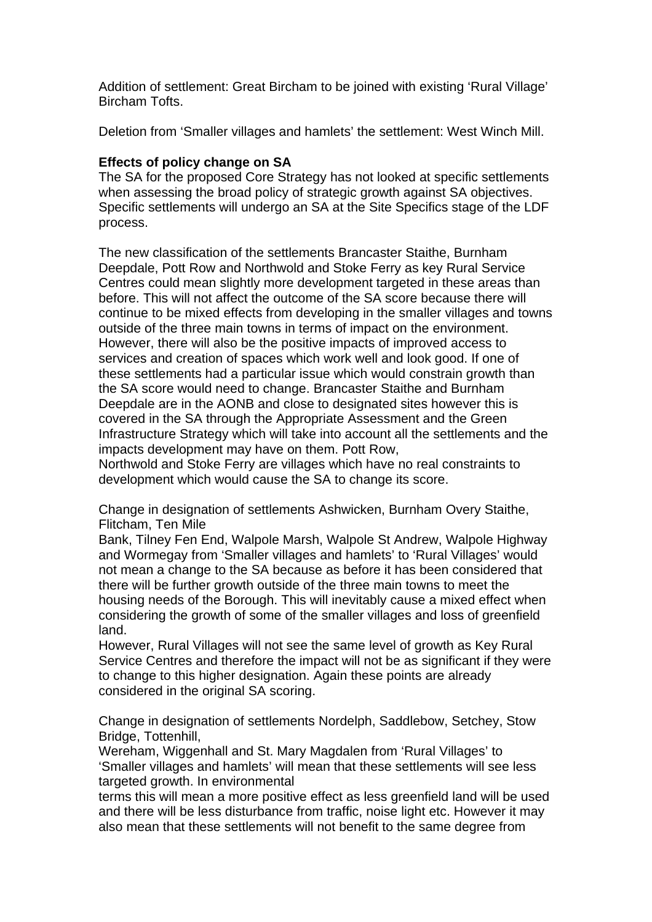Addition of settlement: Great Bircham to be joined with existing 'Rural Village' Bircham Tofts.

Deletion from 'Smaller villages and hamlets' the settlement: West Winch Mill.

### **Effects of policy change on SA**

The SA for the proposed Core Strategy has not looked at specific settlements when assessing the broad policy of strategic growth against SA objectives. Specific settlements will undergo an SA at the Site Specifics stage of the LDF process.

The new classification of the settlements Brancaster Staithe, Burnham Deepdale, Pott Row and Northwold and Stoke Ferry as key Rural Service Centres could mean slightly more development targeted in these areas than before. This will not affect the outcome of the SA score because there will continue to be mixed effects from developing in the smaller villages and towns outside of the three main towns in terms of impact on the environment. However, there will also be the positive impacts of improved access to services and creation of spaces which work well and look good. If one of these settlements had a particular issue which would constrain growth than the SA score would need to change. Brancaster Staithe and Burnham Deepdale are in the AONB and close to designated sites however this is covered in the SA through the Appropriate Assessment and the Green Infrastructure Strategy which will take into account all the settlements and the impacts development may have on them. Pott Row,

Northwold and Stoke Ferry are villages which have no real constraints to development which would cause the SA to change its score.

Change in designation of settlements Ashwicken, Burnham Overy Staithe, Flitcham, Ten Mile

Bank, Tilney Fen End, Walpole Marsh, Walpole St Andrew, Walpole Highway and Wormegay from 'Smaller villages and hamlets' to 'Rural Villages' would not mean a change to the SA because as before it has been considered that there will be further growth outside of the three main towns to meet the housing needs of the Borough. This will inevitably cause a mixed effect when considering the growth of some of the smaller villages and loss of greenfield land.

However, Rural Villages will not see the same level of growth as Key Rural Service Centres and therefore the impact will not be as significant if they were to change to this higher designation. Again these points are already considered in the original SA scoring.

Change in designation of settlements Nordelph, Saddlebow, Setchey, Stow Bridge, Tottenhill,

Wereham, Wiggenhall and St. Mary Magdalen from 'Rural Villages' to 'Smaller villages and hamlets' will mean that these settlements will see less targeted growth. In environmental

terms this will mean a more positive effect as less greenfield land will be used and there will be less disturbance from traffic, noise light etc. However it may also mean that these settlements will not benefit to the same degree from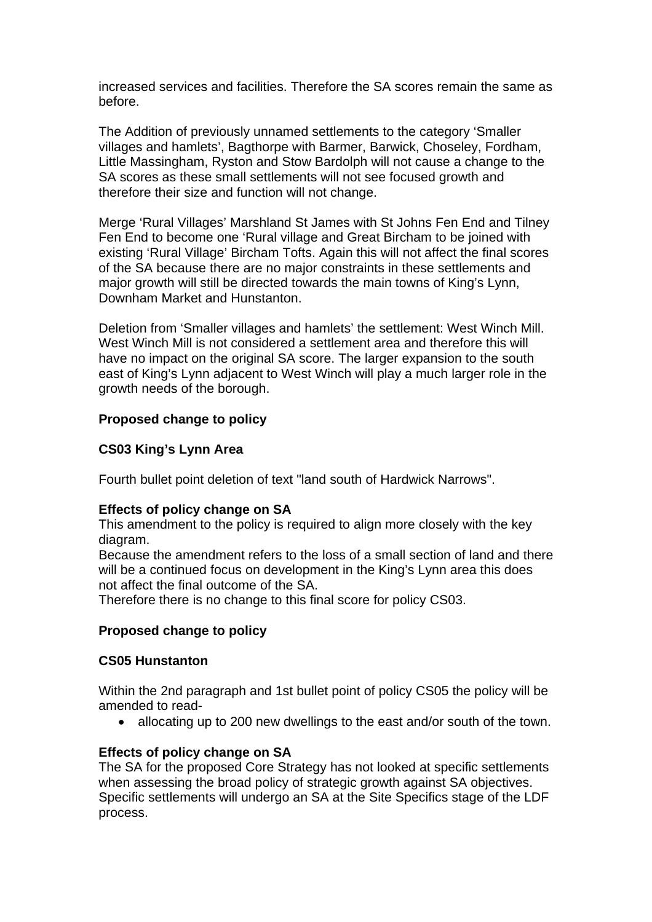increased services and facilities. Therefore the SA scores remain the same as before.

The Addition of previously unnamed settlements to the category 'Smaller villages and hamlets', Bagthorpe with Barmer, Barwick, Choseley, Fordham, Little Massingham, Ryston and Stow Bardolph will not cause a change to the SA scores as these small settlements will not see focused growth and therefore their size and function will not change.

Merge 'Rural Villages' Marshland St James with St Johns Fen End and Tilney Fen End to become one 'Rural village and Great Bircham to be joined with existing 'Rural Village' Bircham Tofts. Again this will not affect the final scores of the SA because there are no major constraints in these settlements and major growth will still be directed towards the main towns of King's Lynn, Downham Market and Hunstanton.

Deletion from 'Smaller villages and hamlets' the settlement: West Winch Mill. West Winch Mill is not considered a settlement area and therefore this will have no impact on the original SA score. The larger expansion to the south east of King's Lynn adjacent to West Winch will play a much larger role in the growth needs of the borough.

## **Proposed change to policy**

## **CS03 King's Lynn Area**

Fourth bullet point deletion of text "land south of Hardwick Narrows".

#### **Effects of policy change on SA**

This amendment to the policy is required to align more closely with the key diagram.

Because the amendment refers to the loss of a small section of land and there will be a continued focus on development in the King's Lynn area this does not affect the final outcome of the SA.

Therefore there is no change to this final score for policy CS03.

#### **Proposed change to policy**

#### **CS05 Hunstanton**

Within the 2nd paragraph and 1st bullet point of policy CS05 the policy will be amended to read-

• allocating up to 200 new dwellings to the east and/or south of the town.

#### **Effects of policy change on SA**

The SA for the proposed Core Strategy has not looked at specific settlements when assessing the broad policy of strategic growth against SA objectives. Specific settlements will undergo an SA at the Site Specifics stage of the LDF process.